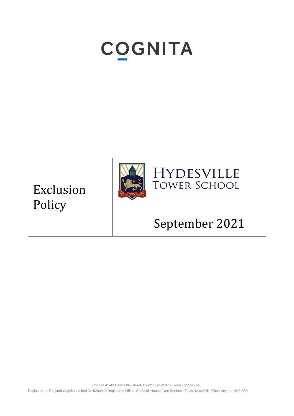# **COGNITA**

Exclusion Policy



## September 2021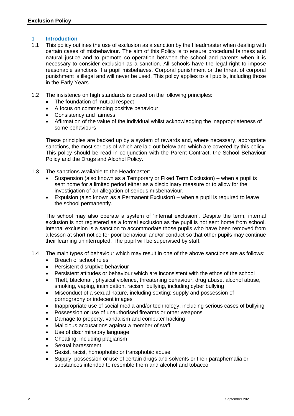#### **1 Introduction**

- 1.1 This policy outlines the use of exclusion as a sanction by the Headmaster when dealing with certain cases of misbehaviour. The aim of this Policy is to ensure procedural fairness and natural justice and to promote co-operation between the school and parents when it is necessary to consider exclusion as a sanction. All schools have the legal right to impose reasonable sanctions if a pupil misbehaves. Corporal punishment or the threat of corporal punishment is illegal and will never be used. This policy applies to all pupils, including those in the Early Years.
- 1.2 The insistence on high standards is based on the following principles:
	- The foundation of mutual respect
	- A focus on commending positive behaviour
	- Consistency and fairness
	- Affirmation of the value of the individual whilst acknowledging the inappropriateness of some behaviours

These principles are backed up by a system of rewards and, where necessary, appropriate sanctions, the most serious of which are laid out below and which are covered by this policy. This policy should be read in conjunction with the Parent Contract, the School Behaviour Policy and the Drugs and Alcohol Policy.

- 1.3 The sanctions available to the Headmaster:
	- Suspension (also known as a Temporary or Fixed Term Exclusion) when a pupil is sent home for a limited period either as a disciplinary measure or to allow for the investigation of an allegation of serious misbehaviour.
	- Expulsion (also known as a Permanent Exclusion) when a pupil is required to leave the school permanently.

The school may also operate a system of 'internal exclusion'. Despite the term, internal exclusion is not registered as a formal exclusion as the pupil is not sent home from school. Internal exclusion is a sanction to accommodate those pupils who have been removed from a lesson at short notice for poor behaviour and/or conduct so that other pupils may continue their learning uninterrupted. The pupil will be supervised by staff.

- 1.4 The main types of behaviour which may result in one of the above sanctions are as follows:
	- Breach of school rules
	- Persistent disruptive behaviour
	- Persistent attitudes or behaviour which are inconsistent with the ethos of the school
	- Theft, blackmail, physical violence, threatening behaviour, drug abuse, alcohol abuse, smoking, vaping, intimidation, racism, bullying, including cyber bullying
	- Misconduct of a sexual nature, including sexting; supply and possession of pornography or indecent images
	- Inappropriate use of social media and/or technology, including serious cases of bullying
	- Possession or use of unauthorised firearms or other weapons
	- Damage to property, vandalism and computer hacking
	- Malicious accusations against a member of staff
	- Use of discriminatory language
	- Cheating, including plagiarism
	- Sexual harassment
	- Sexist, racist, homophobic or transphobic abuse
	- Supply, possession or use of certain drugs and solvents or their paraphernalia or substances intended to resemble them and alcohol and tobacco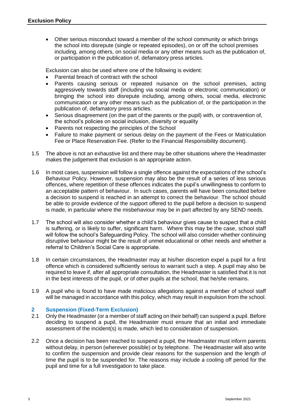• Other serious misconduct toward a member of the school community or which brings the school into disrepute (single or repeated episodes), on or off the school premises including, among others, on social media or any other means such as the publication of, or participation in the publication of, defamatory press articles.

Exclusion can also be used where one of the following is evident:

- Parental breach of contract with the school
- Parents causing serious or repeated nuisance on the school premises, acting aggressively towards staff (including via social media or electronic communication) or bringing the school into disrepute including, among others, social media, electronic communication or any other means such as the publication of, or the participation in the publication of, defamatory press articles.
- Serious disagreement (on the part of the parents or the pupil) with, or contravention of, the school's policies on social inclusion, diversity or equality
- Parents not respecting the principles of the School
- Failure to make payment or serious delay on the payment of the Fees or Matriculation Fee or Place Reservation Fee. (Refer to the Financial Responsibility document).
- 1.5 The above is not an exhaustive list and there may be other situations where the Headmaster makes the judgement that exclusion is an appropriate action.
- 1.6 In most cases, suspension will follow a single offence against the expectations of the school's Behaviour Policy. However, suspension may also be the result of a series of less serious offences, where repetition of these offences indicates the pupil's unwillingness to conform to an acceptable pattern of behaviour. In such cases, parents will have been consulted before a decision to suspend is reached in an attempt to correct the behaviour. The school should be able to provide evidence of the support offered to the pupil before a decision to suspend is made, in particular where the misbehaviour may be in part affected by any SEND needs.
- 1.7 The school will also consider whether a child's behaviour gives cause to suspect that a child is suffering, or is likely to suffer, significant harm. Where this may be the case, school staff will follow the school's Safeguarding Policy. The school will also consider whether continuing disruptive behaviour might be the result of unmet educational or other needs and whether a referral to Children's Social Care is appropriate.
- 1.8 In certain circumstances, the Headmaster may at his/her discretion expel a pupil for a first offence which is considered sufficiently serious to warrant such a step. A pupil may also be required to leave if, after all appropriate consultation, the Headmaster is satisfied that it is not in the best interests of the pupil, or of other pupils at the school, that he/she remains.
- 1.9 A pupil who is found to have made malicious allegations against a member of school staff will be managed in accordance with this policy, which may result in expulsion from the school.

### **2 Suspension (Fixed-Term Exclusion)**

- 2.1 Only the Headmaster (or a member of staff acting on their behalf) can suspend a pupil. Before deciding to suspend a pupil, the Headmaster must ensure that an initial and immediate assessment of the incident(s) is made, which led to consideration of suspension.
- 2.2 Once a decision has been reached to suspend a pupil, the Headmaster must inform parents without delay, in person (wherever possible) or by telephone. The Headmaster will also write to confirm the suspension and provide clear reasons for the suspension and the length of time the pupil is to be suspended for. The reasons may include a cooling off period for the pupil and time for a full investigation to take place.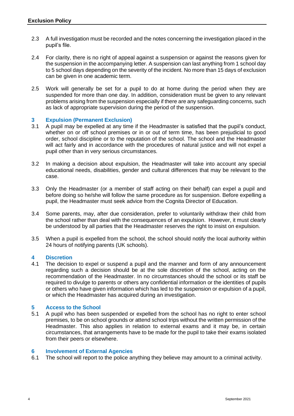- 2.3 A full investigation must be recorded and the notes concerning the investigation placed in the pupil's file.
- 2.4 For clarity, there is no right of appeal against a suspension or against the reasons given for the suspension in the accompanying letter. A suspension can last anything from 1 school day to 5 school days depending on the severity of the incident. No more than 15 days of exclusion can be given in one academic term.
- 2.5 Work will generally be set for a pupil to do at home during the period when they are suspended for more than one day. In addition, consideration must be given to any relevant problems arising from the suspension especially if there are any safeguarding concerns, such as lack of appropriate supervision during the period of the suspension.

#### **3 Expulsion (Permanent Exclusion)**

- 3.1 A pupil may be expelled at any time if the Headmaster is satisfied that the pupil's conduct, whether on or off school premises or in or out of term time, has been prejudicial to good order, school discipline or to the reputation of the school. The school and the Headmaster will act fairly and in accordance with the procedures of natural justice and will not expel a pupil other than in very serious circumstances.
- 3.2 In making a decision about expulsion, the Headmaster will take into account any special educational needs, disabilities, gender and cultural differences that may be relevant to the case.
- 3.3 Only the Headmaster (or a member of staff acting on their behalf) can expel a pupil and before doing so he/she will follow the same procedure as for suspension. Before expelling a pupil, the Headmaster must seek advice from the Cognita Director of Education.
- 3.4 Some parents, may, after due consideration, prefer to voluntarily withdraw their child from the school rather than deal with the consequences of an expulsion. However, it must clearly be understood by all parties that the Headmaster reserves the right to insist on expulsion.
- 3.5 When a pupil is expelled from the school, the school should notify the local authority within 24 hours of notifying parents (UK schools).

#### **4 Discretion**

4.1 The decision to expel or suspend a pupil and the manner and form of any announcement regarding such a decision should be at the sole discretion of the school, acting on the recommendation of the Headmaster. In no circumstances should the school or its staff be required to divulge to parents or others any confidential information or the identities of pupils or others who have given information which has led to the suspension or expulsion of a pupil, or which the Headmaster has acquired during an investigation.

#### **5 Access to the School**

5.1 A pupil who has been suspended or expelled from the school has no right to enter school premises, to be on school grounds or attend school trips without the written permission of the Headmaster. This also applies in relation to external exams and it may be, in certain circumstances, that arrangements have to be made for the pupil to take their exams isolated from their peers or elsewhere.

#### **6 Involvement of External Agencies**

6.1 The school will report to the police anything they believe may amount to a criminal activity.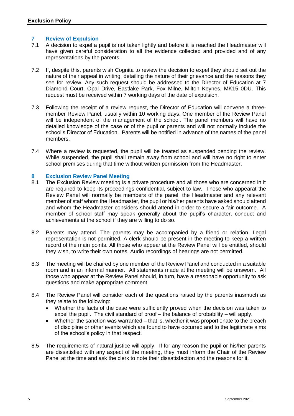#### **7 Review of Expulsion**

- 7.1 A decision to expel a pupil is not taken lightly and before it is reached the Headmaster will have given careful consideration to all the evidence collected and provided and of any representations by the parents.
- 7.2 If, despite this, parents wish Cognita to review the decision to expel they should set out the nature of their appeal in writing, detailing the nature of their grievance and the reasons they see for review. Any such request should be addressed to the Director of Education at 7 Diamond Court, Opal Drive, Eastlake Park, Fox Milne, Milton Keynes, MK15 0DU. This request must be received within 7 working days of the date of expulsion.
- 7.3 Following the receipt of a review request, the Director of Education will convene a threemember Review Panel, usually within 10 working days. One member of the Review Panel will be independent of the management of the school. The panel members will have no detailed knowledge of the case or of the pupil or parents and will not normally include the school's Director of Education. Parents will be notified in advance of the names of the panel members.
- 7.4 Where a review is requested, the pupil will be treated as suspended pending the review. While suspended, the pupil shall remain away from school and will have no right to enter school premises during that time without written permission from the Headmaster.

#### **8 Exclusion Review Panel Meeting**

- 8.1 The Exclusion Review meeting is a private procedure and all those who are concerned in it are required to keep its proceedings confidential, subject to law. Those who appearat the Review Panel will normally be members of the panel, the Headmaster and any relevant member of staff whom the Headmaster, the pupil or his/her parents have asked should attend and whom the Headmaster considers should attend in order to secure a fair outcome. A member of school staff may speak generally about the pupil's character, conduct and achievements at the school if they are willing to do so.
- 8.2 Parents may attend. The parents may be accompanied by a friend or relation. Legal representation is not permitted. A clerk should be present in the meeting to keep a written record of the main points. All those who appear at the Review Panel will be entitled, should they wish, to write their own notes. Audio recordings of hearings are not permitted.
- 8.3 The meeting will be chaired by one member of the Review Panel and conducted in a suitable room and in an informal manner. All statements made at the meeting will be unsworn. All those who appear at the Review Panel should, in turn, have a reasonable opportunity to ask questions and make appropriate comment.
- 8.4 The Review Panel will consider each of the questions raised by the parents inasmuch as they relate to the following:
	- Whether the facts of the case were sufficiently proved when the decision was taken to expel the pupil. The civil standard of proof – the balance of probability – will apply.
	- Whether the sanction was warranted that is, whether it was proportionate to the breach of discipline or other events which are found to have occurred and to the legitimate aims of the school's policy in that respect.
- 8.5 The requirements of natural justice will apply. If for any reason the pupil or his/her parents are dissatisfied with any aspect of the meeting, they must inform the Chair of the Review Panel at the time and ask the clerk to note their dissatisfaction and the reasons for it.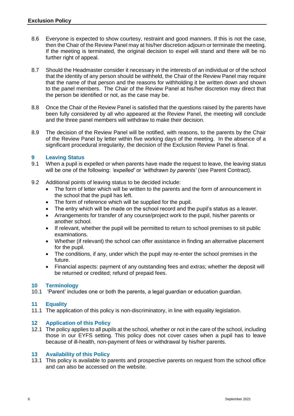- 8.6 Everyone is expected to show courtesy, restraint and good manners. If this is not the case, then the Chair of the Review Panel may at his/her discretion adjourn or terminate the meeting. If the meeting is terminated, the original decision to expel will stand and there will be no further right of appeal.
- 8.7 Should the Headmaster consider it necessary in the interests of an individual or of the school that the identity of any person should be withheld, the Chair of the Review Panel may require that the name of that person and the reasons for withholding it be written down and shown to the panel members. The Chair of the Review Panel at his/her discretion may direct that the person be identified or not, as the case may be.
- 8.8 Once the Chair of the Review Panel is satisfied that the questions raised by the parents have been fully considered by all who appeared at the Review Panel, the meeting will conclude and the three panel members will withdraw to make their decision.
- 8.9 The decision of the Review Panel will be notified, with reasons, to the parents by the Chair of the Review Panel by letter within five working days of the meeting. In the absence of a significant procedural irregularity, the decision of the Exclusion Review Panel is final.

#### **9 Leaving Status**

- 9.1 When a pupil is expelled or when parents have made the request to leave, the leaving status will be one of the following: *'expelled'* or *'withdrawn by parents'* (see Parent Contract)*.*
- 9.2 Additional points of leaving status to be decided include:
	- The form of letter which will be written to the parents and the form of announcement in the school that the pupil has left.
	- The form of reference which will be supplied for the pupil.
	- The entry which will be made on the school record and the pupil's status as a leaver.
	- Arrangements for transfer of any course/project work to the pupil, his/her parents or another school.
	- If relevant, whether the pupil will be permitted to return to school premises to sit public examinations.
	- Whether (if relevant) the school can offer assistance in finding an alternative placement for the pupil.
	- The conditions, if any, under which the pupil may re-enter the school premises in the future.
	- Financial aspects: payment of any outstanding fees and extras; whether the deposit will be returned or credited; refund of prepaid fees.

#### **10 Terminology**

10.1 'Parent' includes one or both the parents, a legal guardian or education guardian.

#### **11 Equality**

11.1 The application of this policy is non-discriminatory, in line with equality legislation.

#### **12 Application of this Policy**

12.1 The policy applies to all pupils at the school, whether or not in the care of the school, including those in our EYFS setting. This policy does not cover cases when a pupil has to leave because of ill-health, non-payment of fees or withdrawal by his/her parents.

#### **13 Availability of this Policy**

13.1 This policy is available to parents and prospective parents on request from the school office and can also be accessed on the website.